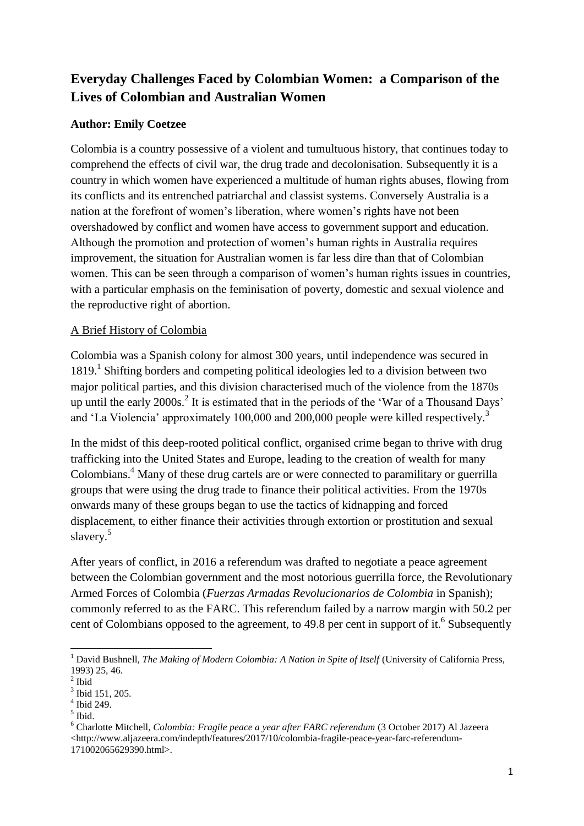# **Everyday Challenges Faced by Colombian Women: a Comparison of the Lives of Colombian and Australian Women**

# **Author: Emily Coetzee**

Colombia is a country possessive of a violent and tumultuous history, that continues today to comprehend the effects of civil war, the drug trade and decolonisation. Subsequently it is a country in which women have experienced a multitude of human rights abuses, flowing from its conflicts and its entrenched patriarchal and classist systems. Conversely Australia is a nation at the forefront of women's liberation, where women's rights have not been overshadowed by conflict and women have access to government support and education. Although the promotion and protection of women's human rights in Australia requires improvement, the situation for Australian women is far less dire than that of Colombian women. This can be seen through a comparison of women's human rights issues in countries, with a particular emphasis on the feminisation of poverty, domestic and sexual violence and the reproductive right of abortion.

# A Brief History of Colombia

Colombia was a Spanish colony for almost 300 years, until independence was secured in 1819.<sup>1</sup> Shifting borders and competing political ideologies led to a division between two major political parties, and this division characterised much of the violence from the 1870s up until the early 2000s.<sup>2</sup> It is estimated that in the periods of the 'War of a Thousand Days' and 'La Violencia' approximately 100,000 and 200,000 people were killed respectively.<sup>3</sup>

In the midst of this deep-rooted political conflict, organised crime began to thrive with drug trafficking into the United States and Europe, leading to the creation of wealth for many Colombians.<sup>4</sup> Many of these drug cartels are or were connected to paramilitary or guerrilla groups that were using the drug trade to finance their political activities. From the 1970s onwards many of these groups began to use the tactics of kidnapping and forced displacement, to either finance their activities through extortion or prostitution and sexual slavery.<sup>5</sup>

After years of conflict, in 2016 a referendum was drafted to negotiate a peace agreement between the Colombian government and the most notorious guerrilla force, the Revolutionary Armed Forces of Colombia (*Fuerzas Armadas Revolucionarios de Colombia* in Spanish); commonly referred to as the FARC. This referendum failed by a narrow margin with 50.2 per cent of Colombians opposed to the agreement, to 49.8 per cent in support of it.<sup>6</sup> Subsequently

4 Ibid 249.

 $\overline{\phantom{a}}$ <sup>1</sup> David Bushnell, *The Making of Modern Colombia: A Nation in Spite of Itself* (University of California Press, 1993) 25, 46.

 $<sup>2</sup>$  Ibid</sup>

<sup>3</sup> Ibid 151, 205.

<sup>5</sup> Ibid.

<sup>6</sup> Charlotte Mitchell, *Colombia: Fragile peace a year after FARC referendum* (3 October 2017) Al Jazeera <http://www.aljazeera.com/indepth/features/2017/10/colombia-fragile-peace-year-farc-referendum-171002065629390.html>.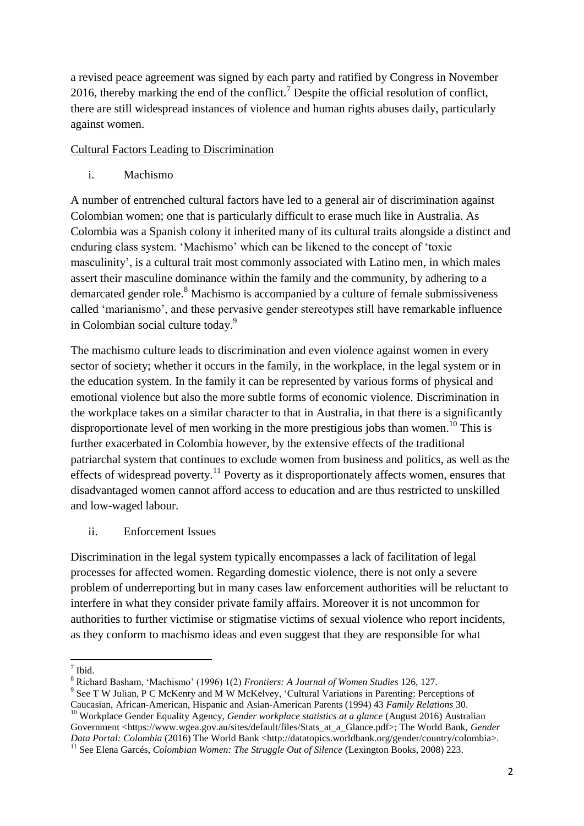a revised peace agreement was signed by each party and ratified by Congress in November 2016, thereby marking the end of the conflict.<sup>7</sup> Despite the official resolution of conflict, there are still widespread instances of violence and human rights abuses daily, particularly against women.

## Cultural Factors Leading to Discrimination

i. Machismo

A number of entrenched cultural factors have led to a general air of discrimination against Colombian women; one that is particularly difficult to erase much like in Australia. As Colombia was a Spanish colony it inherited many of its cultural traits alongside a distinct and enduring class system. 'Machismo' which can be likened to the concept of 'toxic masculinity', is a cultural trait most commonly associated with Latino men, in which males assert their masculine dominance within the family and the community, by adhering to a demarcated gender role.<sup>8</sup> Machismo is accompanied by a culture of female submissiveness called 'marianismo', and these pervasive gender stereotypes still have remarkable influence in Colombian social culture today.<sup>9</sup>

The machismo culture leads to discrimination and even violence against women in every sector of society; whether it occurs in the family, in the workplace, in the legal system or in the education system. In the family it can be represented by various forms of physical and emotional violence but also the more subtle forms of economic violence. Discrimination in the workplace takes on a similar character to that in Australia, in that there is a significantly disproportionate level of men working in the more prestigious jobs than women.<sup>10</sup> This is further exacerbated in Colombia however, by the extensive effects of the traditional patriarchal system that continues to exclude women from business and politics, as well as the effects of widespread poverty.<sup>11</sup> Poverty as it disproportionately affects women, ensures that disadvantaged women cannot afford access to education and are thus restricted to unskilled and low-waged labour.

# ii. Enforcement Issues

Discrimination in the legal system typically encompasses a lack of facilitation of legal processes for affected women. Regarding domestic violence, there is not only a severe problem of underreporting but in many cases law enforcement authorities will be reluctant to interfere in what they consider private family affairs. Moreover it is not uncommon for authorities to further victimise or stigmatise victims of sexual violence who report incidents, as they conform to machismo ideas and even suggest that they are responsible for what

 $\frac{1}{7}$  Ibid.

<sup>8</sup> Richard Basham, 'Machismo' (1996) 1(2) *Frontiers: A Journal of Women Studies* 126, 127.

<sup>&</sup>lt;sup>9</sup> See T W Julian, P C McKenry and M W McKelvey, 'Cultural Variations in Parenting: Perceptions of

Caucasian, African-American, Hispanic and Asian-American Parents (1994) 43 *Family Relations* 30.

<sup>&</sup>lt;sup>10</sup> Workplace Gender Equality Agency, *Gender workplace statistics at a glance* (August 2016) Australian Government <https://www.wgea.gov.au/sites/default/files/Stats\_at\_a\_Glance.pdf>; The World Bank, *Gender Data Portal: Colombia* (2016) The World Bank <http://datatopics.worldbank.org/gender/country/colombia>.

<sup>&</sup>lt;sup>11</sup> See Elena Garcés, *Colombian Women: The Struggle Out of Silence* (Lexington Books, 2008) 223.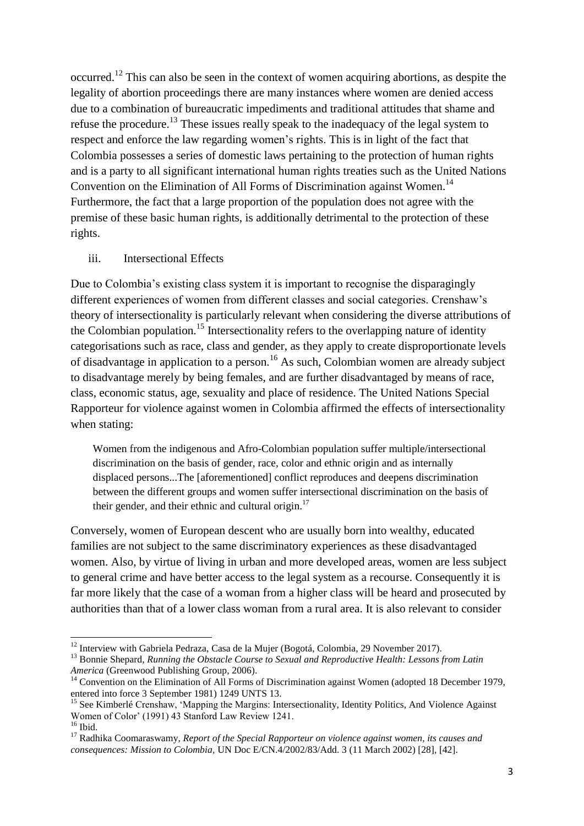occurred.<sup>12</sup> This can also be seen in the context of women acquiring abortions, as despite the legality of abortion proceedings there are many instances where women are denied access due to a combination of bureaucratic impediments and traditional attitudes that shame and refuse the procedure.<sup>13</sup> These issues really speak to the inadequacy of the legal system to respect and enforce the law regarding women's rights. This is in light of the fact that Colombia possesses a series of domestic laws pertaining to the protection of human rights and is a party to all significant international human rights treaties such as the United Nations Convention on the Elimination of All Forms of Discrimination against Women.<sup>14</sup> Furthermore, the fact that a large proportion of the population does not agree with the premise of these basic human rights, is additionally detrimental to the protection of these rights.

## iii. Intersectional Effects

**.** 

Due to Colombia's existing class system it is important to recognise the disparagingly different experiences of women from different classes and social categories. Crenshaw's theory of intersectionality is particularly relevant when considering the diverse attributions of the Colombian population.<sup>15</sup> Intersectionality refers to the overlapping nature of identity categorisations such as race, class and gender, as they apply to create disproportionate levels of disadvantage in application to a person.<sup>16</sup> As such, Colombian women are already subject to disadvantage merely by being females, and are further disadvantaged by means of race, class, economic status, age, sexuality and place of residence. The United Nations Special Rapporteur for violence against women in Colombia affirmed the effects of intersectionality when stating:

Women from the indigenous and Afro-Colombian population suffer multiple/intersectional discrimination on the basis of gender, race, color and ethnic origin and as internally displaced persons...The [aforementioned] conflict reproduces and deepens discrimination between the different groups and women suffer intersectional discrimination on the basis of their gender, and their ethnic and cultural origin. $17$ 

Conversely, women of European descent who are usually born into wealthy, educated families are not subject to the same discriminatory experiences as these disadvantaged women. Also, by virtue of living in urban and more developed areas, women are less subject to general crime and have better access to the legal system as a recourse. Consequently it is far more likely that the case of a woman from a higher class will be heard and prosecuted by authorities than that of a lower class woman from a rural area. It is also relevant to consider

<sup>&</sup>lt;sup>12</sup> Interview with Gabriela Pedraza, Casa de la Mujer (Bogotá, Colombia, 29 November 2017).

<sup>&</sup>lt;sup>13</sup> Bonnie Shepard, *Running the Obstacle Course to Sexual and Reproductive Health: Lessons from Latin America* (Greenwood Publishing Group, 2006).

<sup>&</sup>lt;sup>14</sup> Convention on the Elimination of All Forms of Discrimination against Women (adopted 18 December 1979, entered into force 3 September 1981) 1249 UNTS 13.

<sup>&</sup>lt;sup>15</sup> See Kimberlé Crenshaw, 'Mapping the Margins: Intersectionality, Identity Politics, And Violence Against Women of Color' (1991) 43 Stanford Law Review 1241.  $16$  Ibid.

<sup>17</sup> Radhika Coomaraswamy*, Report of the Special Rapporteur on violence against women, its causes and consequences: Mission to Colombia,* UN Doc E/CN.4/2002/83/Add. 3 (11 March 2002) [28], [42].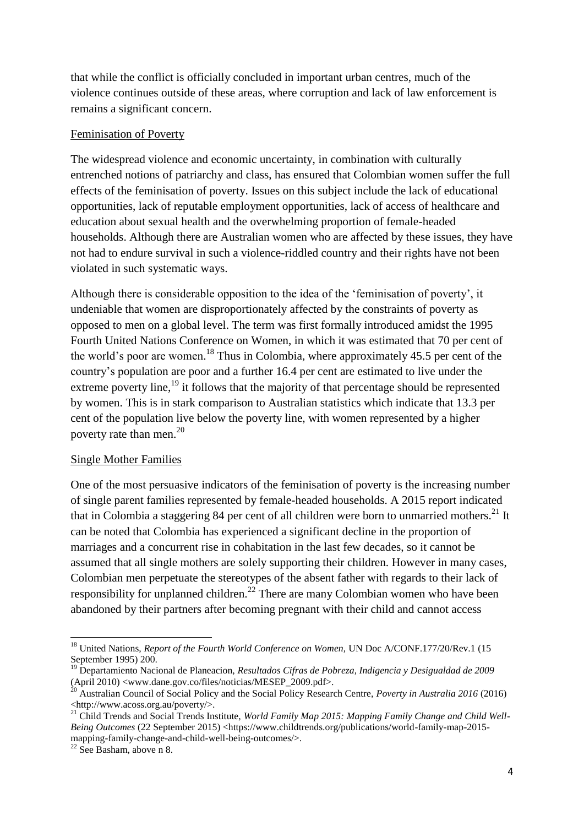that while the conflict is officially concluded in important urban centres, much of the violence continues outside of these areas, where corruption and lack of law enforcement is remains a significant concern.

## Feminisation of Poverty

The widespread violence and economic uncertainty, in combination with culturally entrenched notions of patriarchy and class, has ensured that Colombian women suffer the full effects of the feminisation of poverty. Issues on this subject include the lack of educational opportunities, lack of reputable employment opportunities, lack of access of healthcare and education about sexual health and the overwhelming proportion of female-headed households. Although there are Australian women who are affected by these issues, they have not had to endure survival in such a violence-riddled country and their rights have not been violated in such systematic ways.

Although there is considerable opposition to the idea of the 'feminisation of poverty', it undeniable that women are disproportionately affected by the constraints of poverty as opposed to men on a global level. The term was first formally introduced amidst the 1995 Fourth United Nations Conference on Women, in which it was estimated that 70 per cent of the world's poor are women.<sup>18</sup> Thus in Colombia, where approximately 45.5 per cent of the country's population are poor and a further 16.4 per cent are estimated to live under the extreme poverty line,  $^{19}$  it follows that the majority of that percentage should be represented by women. This is in stark comparison to Australian statistics which indicate that 13.3 per cent of the population live below the poverty line, with women represented by a higher poverty rate than men.<sup>20</sup>

## Single Mother Families

One of the most persuasive indicators of the feminisation of poverty is the increasing number of single parent families represented by female-headed households. A 2015 report indicated that in Colombia a staggering 84 per cent of all children were born to unmarried mothers.<sup>21</sup> It can be noted that Colombia has experienced a significant decline in the proportion of marriages and a concurrent rise in cohabitation in the last few decades, so it cannot be assumed that all single mothers are solely supporting their children. However in many cases, Colombian men perpetuate the stereotypes of the absent father with regards to their lack of responsibility for unplanned children.<sup>22</sup> There are many Colombian women who have been abandoned by their partners after becoming pregnant with their child and cannot access

**.** 

<sup>&</sup>lt;sup>18</sup> United Nations, *Report of the Fourth World Conference on Women*, UN Doc A/CONF.177/20/Rev.1 (15 September 1995) 200.

<sup>19</sup> Departamiento Nacional de Planeacion, *Resultados Cifras de Pobreza, Indigencia y Desigualdad de 2009*  (April 2010)  $\langle$ www.dane.gov.co/files/noticias/MESEP\_2009.pdf>.

<sup>20</sup> Australian Council of Social Policy and the Social Policy Research Centre, *Poverty in Australia 2016* (2016) <http://www.acoss.org.au/poverty/>.

<sup>&</sup>lt;sup>21</sup> Child Trends and Social Trends Institute, *World Family Map 2015: Mapping Family Change and Child Well-Being Outcomes (22 September 2015) <https://www.childtrends.org/publications/world-family-map-2015*mapping-family-change-and-child-well-being-outcomes/>.

 $22$  See Basham, above n 8.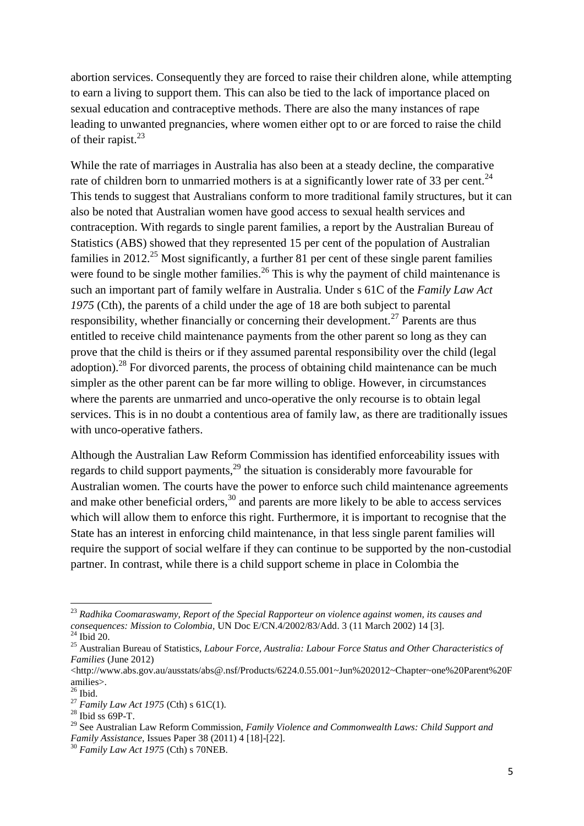abortion services. Consequently they are forced to raise their children alone, while attempting to earn a living to support them. This can also be tied to the lack of importance placed on sexual education and contraceptive methods. There are also the many instances of rape leading to unwanted pregnancies, where women either opt to or are forced to raise the child of their rapist. $^{23}$ 

While the rate of marriages in Australia has also been at a steady decline, the comparative rate of children born to unmarried mothers is at a significantly lower rate of 33 per cent.<sup>24</sup> This tends to suggest that Australians conform to more traditional family structures, but it can also be noted that Australian women have good access to sexual health services and contraception. With regards to single parent families, a report by the Australian Bureau of Statistics (ABS) showed that they represented 15 per cent of the population of Australian families in 2012.<sup>25</sup> Most significantly, a further 81 per cent of these single parent families were found to be single mother families.<sup>26</sup> This is why the payment of child maintenance is such an important part of family welfare in Australia. Under s 61C of the *Family Law Act 1975* (Cth), the parents of a child under the age of 18 are both subject to parental responsibility, whether financially or concerning their development.<sup>27</sup> Parents are thus entitled to receive child maintenance payments from the other parent so long as they can prove that the child is theirs or if they assumed parental responsibility over the child (legal adoption).<sup>28</sup> For divorced parents, the process of obtaining child maintenance can be much simpler as the other parent can be far more willing to oblige. However, in circumstances where the parents are unmarried and unco-operative the only recourse is to obtain legal services. This is in no doubt a contentious area of family law, as there are traditionally issues with unco-operative fathers.

Although the Australian Law Reform Commission has identified enforceability issues with regards to child support payments,  $2^9$  the situation is considerably more favourable for Australian women. The courts have the power to enforce such child maintenance agreements and make other beneficial orders,  $30$  and parents are more likely to be able to access services which will allow them to enforce this right. Furthermore, it is important to recognise that the State has an interest in enforcing child maintenance, in that less single parent families will require the support of social welfare if they can continue to be supported by the non-custodial partner. In contrast, while there is a child support scheme in place in Colombia the

 $\overline{a}$ 

<sup>23</sup> *Radhika Coomaraswamy, Report of the Special Rapporteur on violence against women, its causes and consequences: Mission to Colombia,* UN Doc E/CN.4/2002/83/Add. 3 (11 March 2002) 14 [3].  $^{24}$  Ibid 20.

<sup>25</sup> Australian Bureau of Statistics, *Labour Force, Australia: Labour Force Status and Other Characteristics of Families* (June 2012)

<sup>&</sup>lt;http://www.abs.gov.au/ausstats/abs@.nsf/Products/6224.0.55.001~Jun%202012~Chapter~one%20Parent%20F amilies>.

 $26$  Ibid.

<sup>27</sup> *Family Law Act 1975* (Cth) s 61C(1).

 $28$  Ibid ss 69P-T.

<sup>29</sup> See Australian Law Reform Commission, *Family Violence and Commonwealth Laws: Child Support and Family Assistance,* Issues Paper 38 (2011) 4 [18]-[22].

<sup>30</sup> *Family Law Act 1975* (Cth) s 70NEB.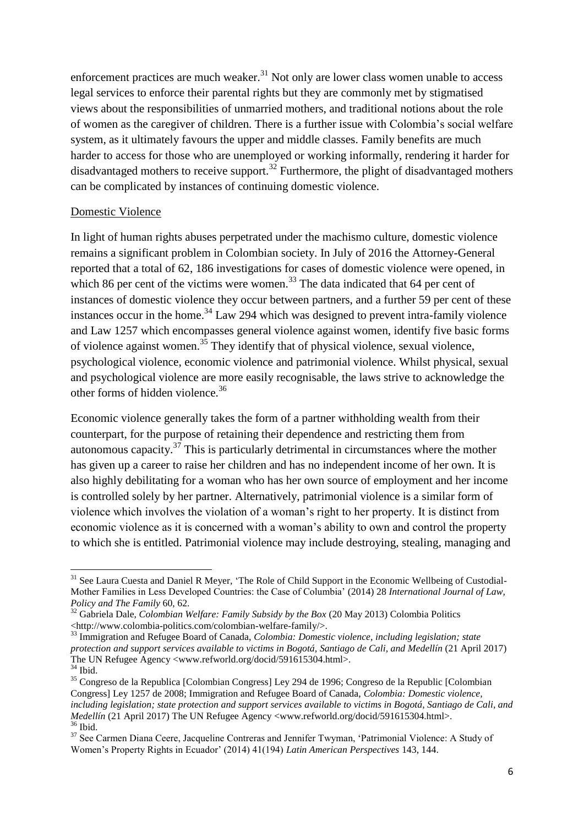enforcement practices are much weaker. $31$  Not only are lower class women unable to access legal services to enforce their parental rights but they are commonly met by stigmatised views about the responsibilities of unmarried mothers, and traditional notions about the role of women as the caregiver of children. There is a further issue with Colombia's social welfare system, as it ultimately favours the upper and middle classes. Family benefits are much harder to access for those who are unemployed or working informally, rendering it harder for disadvantaged mothers to receive support.<sup>32</sup> Furthermore, the plight of disadvantaged mothers can be complicated by instances of continuing domestic violence.

## Domestic Violence

**.** 

In light of human rights abuses perpetrated under the machismo culture, domestic violence remains a significant problem in Colombian society. In July of 2016 the Attorney-General reported that a total of 62, 186 investigations for cases of domestic violence were opened, in which 86 per cent of the victims were women.<sup>33</sup> The data indicated that 64 per cent of instances of domestic violence they occur between partners, and a further 59 per cent of these instances occur in the home.<sup>34</sup> Law 294 which was designed to prevent intra-family violence and Law 1257 which encompasses general violence against women, identify five basic forms of violence against women.<sup>35</sup> They identify that of physical violence, sexual violence, psychological violence, economic violence and patrimonial violence. Whilst physical, sexual and psychological violence are more easily recognisable, the laws strive to acknowledge the other forms of hidden violence.<sup>36</sup>

Economic violence generally takes the form of a partner withholding wealth from their counterpart, for the purpose of retaining their dependence and restricting them from autonomous capacity.<sup>37</sup> This is particularly detrimental in circumstances where the mother has given up a career to raise her children and has no independent income of her own. It is also highly debilitating for a woman who has her own source of employment and her income is controlled solely by her partner. Alternatively, patrimonial violence is a similar form of violence which involves the violation of a woman's right to her property. It is distinct from economic violence as it is concerned with a woman's ability to own and control the property to which she is entitled. Patrimonial violence may include destroying, stealing, managing and

<sup>&</sup>lt;sup>31</sup> See Laura Cuesta and Daniel R Meyer, 'The Role of Child Support in the Economic Wellbeing of Custodial-Mother Families in Less Developed Countries: the Case of Columbia' (2014) 28 *International Journal of Law, Policy and The Family* 60, 62.

<sup>32</sup> Gabriela Dale, *Colombian Welfare: Family Subsidy by the Box* (20 May 2013) Colombia Politics <http://www.colombia-politics.com/colombian-welfare-family/>.

<sup>33</sup> Immigration and Refugee Board of Canada, *Colombia: Domestic violence, including legislation; state protection and support services available to victims in Bogotá, Santiago de Cali, and Medellín* (21 April 2017) The UN Refugee Agency <www.refworld.org/docid/591615304.html>. <sup>34</sup> Ibid.

<sup>&</sup>lt;sup>35</sup> Congreso de la Republica [Colombian Congress] Ley 294 de 1996; Congreso de la Republic [Colombian Congress] Ley 1257 de 2008; Immigration and Refugee Board of Canada, *Colombia: Domestic violence,* including legislation: state protection and support services available to victims in Bogotá, Santiago de Cali, and *Medellín* (21 April 2017) The UN Refugee Agency <www.refworld.org/docid/591615304.html>. <sup>36</sup> Ibid.

<sup>&</sup>lt;sup>37</sup> See Carmen Diana Ceere, Jacqueline Contreras and Jennifer Twyman, 'Patrimonial Violence: A Study of Women's Property Rights in Ecuador' (2014) 41(194) *Latin American Perspectives* 143, 144.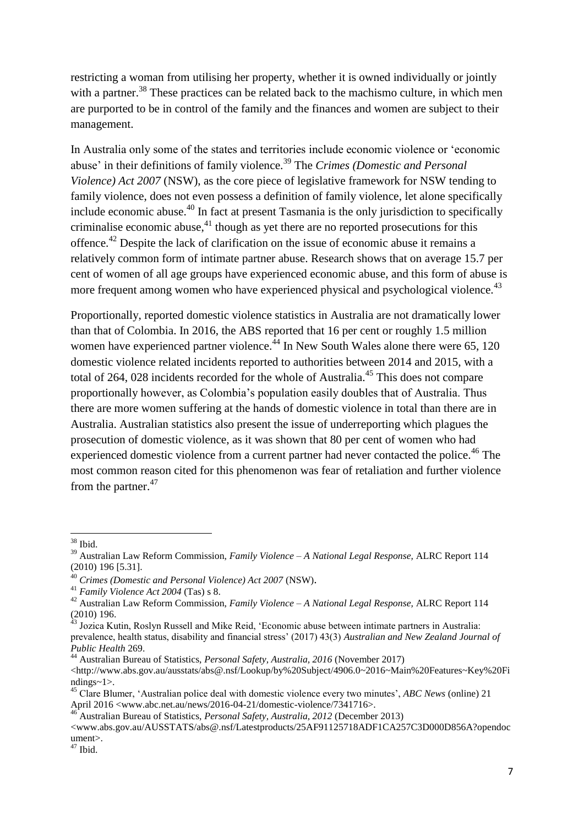restricting a woman from utilising her property, whether it is owned individually or jointly with a partner.<sup>38</sup> These practices can be related back to the machismo culture, in which men are purported to be in control of the family and the finances and women are subject to their management.

In Australia only some of the states and territories include economic violence or 'economic abuse' in their definitions of family violence.<sup>39</sup> The *Crimes (Domestic and Personal Violence) Act 2007* (NSW), as the core piece of legislative framework for NSW tending to family violence, does not even possess a definition of family violence, let alone specifically include economic abuse.<sup>40</sup> In fact at present Tasmania is the only jurisdiction to specifically criminalise economic abuse, $41$  though as yet there are no reported prosecutions for this offence.<sup>42</sup> Despite the lack of clarification on the issue of economic abuse it remains a relatively common form of intimate partner abuse. Research shows that on average 15.7 per cent of women of all age groups have experienced economic abuse, and this form of abuse is more frequent among women who have experienced physical and psychological violence.<sup>43</sup>

Proportionally, reported domestic violence statistics in Australia are not dramatically lower than that of Colombia. In 2016, the ABS reported that 16 per cent or roughly 1.5 million women have experienced partner violence.<sup>44</sup> In New South Wales alone there were 65, 120 domestic violence related incidents reported to authorities between 2014 and 2015, with a total of 264, 028 incidents recorded for the whole of Australia.<sup>45</sup> This does not compare proportionally however, as Colombia's population easily doubles that of Australia. Thus there are more women suffering at the hands of domestic violence in total than there are in Australia. Australian statistics also present the issue of underreporting which plagues the prosecution of domestic violence, as it was shown that 80 per cent of women who had experienced domestic violence from a current partner had never contacted the police.<sup>46</sup> The most common reason cited for this phenomenon was fear of retaliation and further violence from the partner.<sup>47</sup>

<sup>1</sup> <sup>38</sup> Ibid.

<sup>39</sup> Australian Law Reform Commission, *Family Violence – A National Legal Response,* ALRC Report 114 (2010) 196 [5.31].

<sup>40</sup> *Crimes (Domestic and Personal Violence) Act 2007* (NSW).

<sup>41</sup> *Family Violence Act 2004* (Tas) s 8.

<sup>42</sup> Australian Law Reform Commission, *Family Violence – A National Legal Response,* ALRC Report 114 (2010) 196.

<sup>&</sup>lt;sup>43</sup> Jozica Kutin, Roslyn Russell and Mike Reid, 'Economic abuse between intimate partners in Australia: prevalence, health status, disability and financial stress' (2017) 43(3) *Australian and New Zealand Journal of Public Health* 269.

<sup>44</sup> Australian Bureau of Statistics, *Personal Safety, Australia, 2016* (November 2017)

<sup>&</sup>lt;http://www.abs.gov.au/ausstats/abs@.nsf/Lookup/by%20Subject/4906.0~2016~Main%20Features~Key%20Fi ndings~1>.

<sup>45</sup> Clare Blumer, 'Australian police deal with domestic violence every two minutes', *ABC News* (online) 21 April 2016 <www.abc.net.au/news/2016-04-21/domestic-violence/7341716>.

<sup>46</sup> Australian Bureau of Statistics, *Personal Safety, Australia, 2012* (December 2013)

<sup>&</sup>lt;www.abs.gov.au/AUSSTATS/abs@.nsf/Latestproducts/25AF91125718ADF1CA257C3D000D856A?opendoc ument>.

 $47$  Ibid.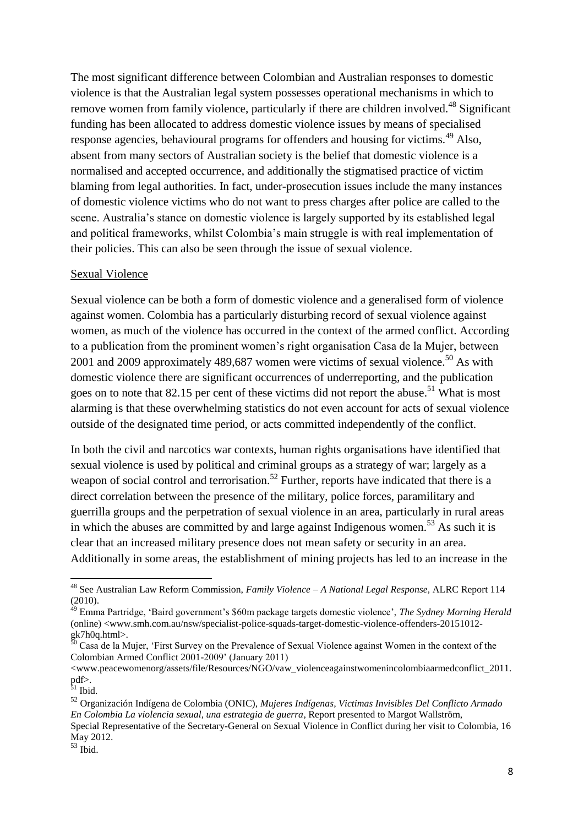The most significant difference between Colombian and Australian responses to domestic violence is that the Australian legal system possesses operational mechanisms in which to remove women from family violence, particularly if there are children involved.<sup>48</sup> Significant funding has been allocated to address domestic violence issues by means of specialised response agencies, behavioural programs for offenders and housing for victims.<sup>49</sup> Also, absent from many sectors of Australian society is the belief that domestic violence is a normalised and accepted occurrence, and additionally the stigmatised practice of victim blaming from legal authorities. In fact, under-prosecution issues include the many instances of domestic violence victims who do not want to press charges after police are called to the scene. Australia's stance on domestic violence is largely supported by its established legal and political frameworks, whilst Colombia's main struggle is with real implementation of their policies. This can also be seen through the issue of sexual violence.

## Sexual Violence

Sexual violence can be both a form of domestic violence and a generalised form of violence against women. Colombia has a particularly disturbing record of sexual violence against women, as much of the violence has occurred in the context of the armed conflict. According to a publication from the prominent women's right organisation Casa de la Mujer, between 2001 and 2009 approximately 489,687 women were victims of sexual violence.<sup>50</sup> As with domestic violence there are significant occurrences of underreporting, and the publication goes on to note that 82.15 per cent of these victims did not report the abuse.<sup>51</sup> What is most alarming is that these overwhelming statistics do not even account for acts of sexual violence outside of the designated time period, or acts committed independently of the conflict.

In both the civil and narcotics war contexts, human rights organisations have identified that sexual violence is used by political and criminal groups as a strategy of war; largely as a weapon of social control and terrorisation.<sup>52</sup> Further, reports have indicated that there is a direct correlation between the presence of the military, police forces, paramilitary and guerrilla groups and the perpetration of sexual violence in an area, particularly in rural areas in which the abuses are committed by and large against Indigenous women.<sup>53</sup> As such it is clear that an increased military presence does not mean safety or security in an area. Additionally in some areas, the establishment of mining projects has led to an increase in the

**.** 

<sup>48</sup> See Australian Law Reform Commission, *Family Violence – A National Legal Response,* ALRC Report 114 (2010).

<sup>49</sup> Emma Partridge, 'Baird government's \$60m package targets domestic violence', *The Sydney Morning Herald*  (online) <www.smh.com.au/nsw/specialist-police-squads-target-domestic-violence-offenders-20151012  $gk7h0q.html$ .

 $\int_{0}^{0}$  Casa de la Mujer, 'First Survey on the Prevalence of Sexual Violence against Women in the context of the Colombian Armed Conflict 2001-2009' (January 2011)

<sup>&</sup>lt;www.peacewomenorg/assets/file/Resources/NGO/vaw\_violenceagainstwomenincolombiaarmedconflict\_2011. pdf>.

 $31$  Ibid.

<sup>52</sup> Organización Indígena de Colombia (ONIC), *Mujeres Indígenas, Victimas Invisibles Del Conflicto Armado En Colombia La violencia sexual, una estrategia de guerra*, Report presented to Margot Wallström, Special Representative of the Secretary-General on Sexual Violence in Conflict during her visit to Colombia, 16 May 2012.

 $53$  Ibid.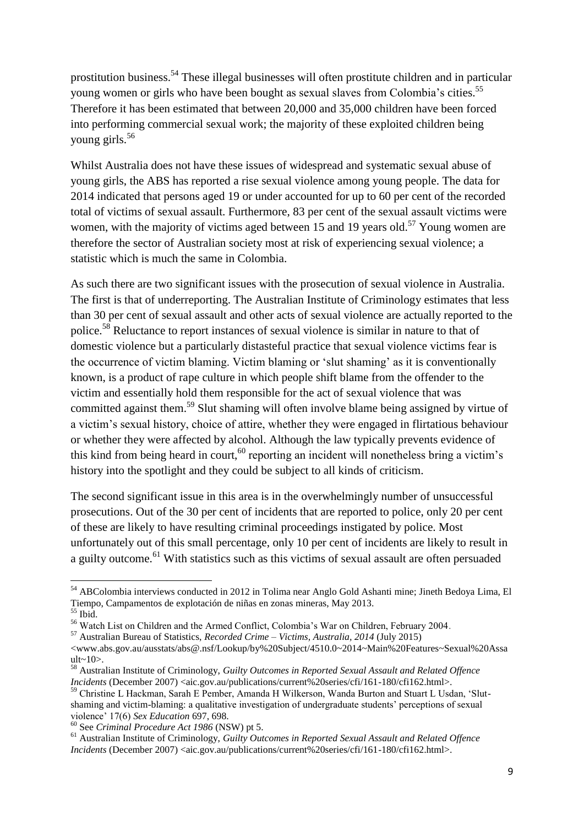prostitution business.<sup>54</sup> These illegal businesses will often prostitute children and in particular young women or girls who have been bought as sexual slaves from Colombia's cities.<sup>55</sup> Therefore it has been estimated that between 20,000 and 35,000 children have been forced into performing commercial sexual work; the majority of these exploited children being young girls.<sup>56</sup>

Whilst Australia does not have these issues of widespread and systematic sexual abuse of young girls, the ABS has reported a rise sexual violence among young people. The data for 2014 indicated that persons aged 19 or under accounted for up to 60 per cent of the recorded total of victims of sexual assault. Furthermore, 83 per cent of the sexual assault victims were women, with the majority of victims aged between 15 and 19 years old.<sup>57</sup> Young women are therefore the sector of Australian society most at risk of experiencing sexual violence; a statistic which is much the same in Colombia.

As such there are two significant issues with the prosecution of sexual violence in Australia. The first is that of underreporting. The Australian Institute of Criminology estimates that less than 30 per cent of sexual assault and other acts of sexual violence are actually reported to the police.<sup>58</sup> Reluctance to report instances of sexual violence is similar in nature to that of domestic violence but a particularly distasteful practice that sexual violence victims fear is the occurrence of victim blaming. Victim blaming or 'slut shaming' as it is conventionally known, is a product of rape culture in which people shift blame from the offender to the victim and essentially hold them responsible for the act of sexual violence that was committed against them.<sup>59</sup> Slut shaming will often involve blame being assigned by virtue of a victim's sexual history, choice of attire, whether they were engaged in flirtatious behaviour or whether they were affected by alcohol. Although the law typically prevents evidence of this kind from being heard in court,  $60$  reporting an incident will nonetheless bring a victim's history into the spotlight and they could be subject to all kinds of criticism.

The second significant issue in this area is in the overwhelmingly number of unsuccessful prosecutions. Out of the 30 per cent of incidents that are reported to police, only 20 per cent of these are likely to have resulting criminal proceedings instigated by police. Most unfortunately out of this small percentage, only 10 per cent of incidents are likely to result in a guilty outcome.<sup>61</sup> With statistics such as this victims of sexual assault are often persuaded

1

<sup>54</sup> ABColombia interviews conducted in 2012 in Tolima near Anglo Gold Ashanti mine; Jineth Bedoya Lima, El Tiempo, Campamentos de explotación de niñas en zonas mineras, May 2013. <sup>55</sup> Ibid.

<sup>56</sup> Watch List on Children and the Armed Conflict, Colombia's War on Children, February 2004.

<sup>57</sup> Australian Bureau of Statistics, *Recorded Crime – Victims, Australia, 2014* (July 2015)

<sup>&</sup>lt;www.abs.gov.au/ausstats/abs@.nsf/Lookup/by%20Subject/4510.0~2014~Main%20Features~Sexual%20Assa ult~10>.

<sup>58</sup> Australian Institute of Criminology, *Guilty Outcomes in Reported Sexual Assault and Related Offence Incidents* (December 2007) <aic.gov.au/publications/current%20series/cfi/161-180/cfi162.html>.

<sup>59</sup> Christine L Hackman, Sarah E Pember, Amanda H Wilkerson, Wanda Burton and Stuart L Usdan, 'Slutshaming and victim-blaming: a qualitative investigation of undergraduate students' perceptions of sexual violence' 17(6) *Sex Education* 697, 698.

<sup>60</sup> See *Criminal Procedure Act 1986* (NSW) pt 5.

<sup>61</sup> Australian Institute of Criminology, *Guilty Outcomes in Reported Sexual Assault and Related Offence Incidents* (December 2007) <aic.gov.au/publications/current%20series/cfi/161-180/cfi162.html>.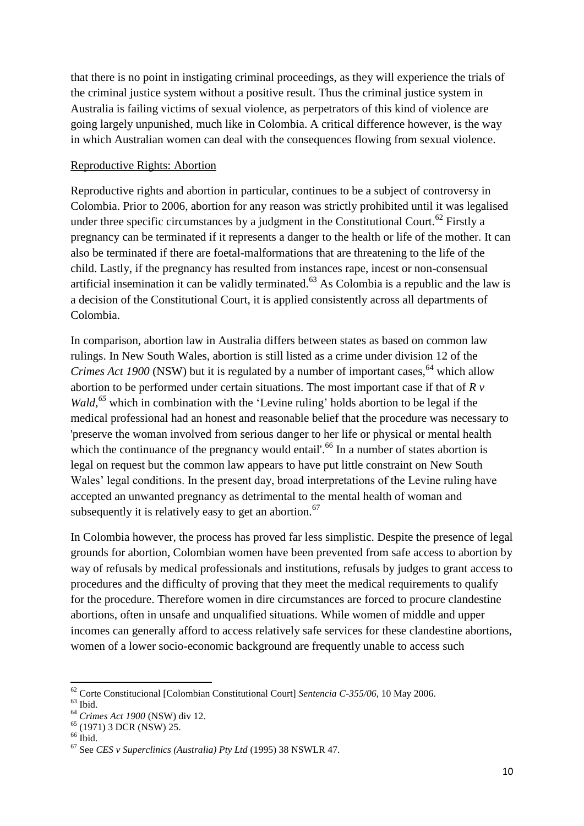that there is no point in instigating criminal proceedings, as they will experience the trials of the criminal justice system without a positive result. Thus the criminal justice system in Australia is failing victims of sexual violence, as perpetrators of this kind of violence are going largely unpunished, much like in Colombia. A critical difference however, is the way in which Australian women can deal with the consequences flowing from sexual violence.

## Reproductive Rights: Abortion

Reproductive rights and abortion in particular, continues to be a subject of controversy in Colombia. Prior to 2006, abortion for any reason was strictly prohibited until it was legalised under three specific circumstances by a judgment in the Constitutional Court.<sup>62</sup> Firstly a pregnancy can be terminated if it represents a danger to the health or life of the mother. It can also be terminated if there are foetal-malformations that are threatening to the life of the child. Lastly, if the pregnancy has resulted from instances rape, incest or non-consensual artificial insemination it can be validly terminated.<sup> $63$ </sup> As Colombia is a republic and the law is a decision of the Constitutional Court, it is applied consistently across all departments of Colombia.

In comparison, abortion law in Australia differs between states as based on common law rulings. In New South Wales, abortion is still listed as a crime under division 12 of the *Crimes Act 1900* (NSW) but it is regulated by a number of important cases, <sup>64</sup> which allow abortion to be performed under certain situations. The most important case if that of *R v Wald*,<sup>65</sup> which in combination with the 'Levine ruling' holds abortion to be legal if the medical professional had an honest and reasonable belief that the procedure was necessary to 'preserve the woman involved from serious danger to her life or physical or mental health which the continuance of the pregnancy would entail'.<sup>66</sup> In a number of states abortion is legal on request but the common law appears to have put little constraint on New South Wales' legal conditions. In the present day, broad interpretations of the Levine ruling have accepted an unwanted pregnancy as detrimental to the mental health of woman and subsequently it is relatively easy to get an abortion.<sup>67</sup>

In Colombia however, the process has proved far less simplistic. Despite the presence of legal grounds for abortion, Colombian women have been prevented from safe access to abortion by way of refusals by medical professionals and institutions, refusals by judges to grant access to procedures and the difficulty of proving that they meet the medical requirements to qualify for the procedure. Therefore women in dire circumstances are forced to procure clandestine abortions, often in unsafe and unqualified situations. While women of middle and upper incomes can generally afford to access relatively safe services for these clandestine abortions, women of a lower socio-economic background are frequently unable to access such

<sup>1</sup> <sup>62</sup> Corte Constitucional [Colombian Constitutional Court] *Sentencia C-355/06*, 10 May 2006.

 $63$  Ibid.

<sup>64</sup> *Crimes Act 1900* (NSW) div 12.

<sup>65</sup> (1971) 3 DCR (NSW) 25.

 $66$  Ibid.

<sup>67</sup> See *CES v Superclinics (Australia) Pty Ltd* (1995) 38 NSWLR 47.